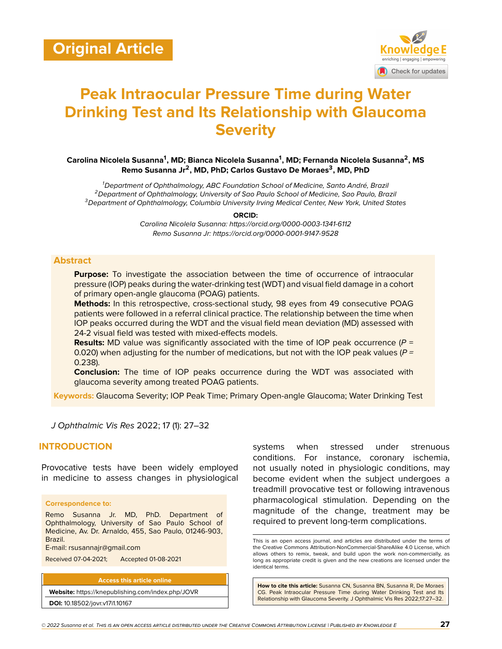

# **Peak Intraocular Pressure Time during Water Drinking Test and Its Relationship with Glaucoma Severity**

### **Carolina Nicolela Susanna<sup>1</sup> , MD; Bianca Nicolela Susanna<sup>1</sup> , MD; Fernanda Nicolela Susanna<sup>2</sup> , MS Remo Susanna Jr<sup>2</sup> , MD, PhD; Carlos Gustavo De Moraes<sup>3</sup> , MD, PhD**

*<sup>1</sup>Department of Ophthalmology, ABC Foundation School of Medicine, Santo André, Brazil <sup>2</sup>Department of Ophthalmology, University of Sao Paulo School of Medicine, Sao Paulo, Brazil <sup>3</sup>Department of Ophthalmology, Columbia University Irving Medical Center, New York, United States*

**ORCID:**

*Carolina Nicolela Susanna: https://orcid.org/0000-0003-1341-6112 Remo Susanna Jr: https://orcid.org/0000-0001-9147-9528*

#### **Abstract**

**Purpose:** To investigate the association between the time of occurrence of intraocular pressure (IOP) peaks during the water-drinking test (WDT) and visual field damage in a cohort of primary open-angle glaucoma (POAG) patients.

**Methods:** In this retrospective, cross-sectional study, 98 eyes from 49 consecutive POAG patients were followed in a referral clinical practice. The relationship between the time when IOP peaks occurred during the WDT and the visual field mean deviation (MD) assessed with 24-2 visual field was tested with mixed-effects models.

**Results:** MD value was significantly associated with the time of IOP peak occurrence ( $P =$ 0.020) when adjusting for the number of medications, but not with the IOP peak values (*P =* 0.238).

**Conclusion:** The time of IOP peaks occurrence during the WDT was associated with glaucoma severity among treated POAG patients.

**Keywords:** Glaucoma Severity; IOP Peak Time; Primary Open-angle Glaucoma; Water Drinking Test

*J Ophthalmic Vis Res* 2022; 17 (1): 27–32

## **INTRODUCTION**

Provocative tests have been widely employed in medicine to assess changes in physiological

#### **Correspondence to:**

Remo Susanna Jr. MD, PhD. Department of Ophthalmology, University of Sao Paulo School of Medicine, Av. Dr. Arnaldo, 455, Sao Paulo, 01246-903, Brazil.

E-mail: rsusannajr@gmail.com

Received 07-04-2021; Accepted 01-08-2021

**Access this article online**

**Website:** <https://knepublishing.com/index.php/JOVR> **DOI:** 10.18502/jovr.v17i1.10167

systems when stressed under strenuous conditions. For instance, coronary ischemia, not usually noted in physiologic conditions, may become evident when the subject undergoes a treadmill provocative test or following intravenous pharmacological stimulation. Depending on the magnitude of the change, treatment may be required to prevent long-term complications.

This is an open access journal, and articles are distributed under the terms of the Creative Commons Attribution-NonCommercial-ShareAlike 4.0 License, which allows others to remix, tweak, and build upon the work non-commercially, as long as appropriate credit is given and the new creations are licensed under the identical terms.

**How to cite this article:** Susanna CN, Susanna BN, Susanna R, De Moraes CG. Peak Intraocular Pressure Time during Water Drinking Test and Its Relationship with Glaucoma Severity. J Ophthalmic Vis Res 2022;17:27–32.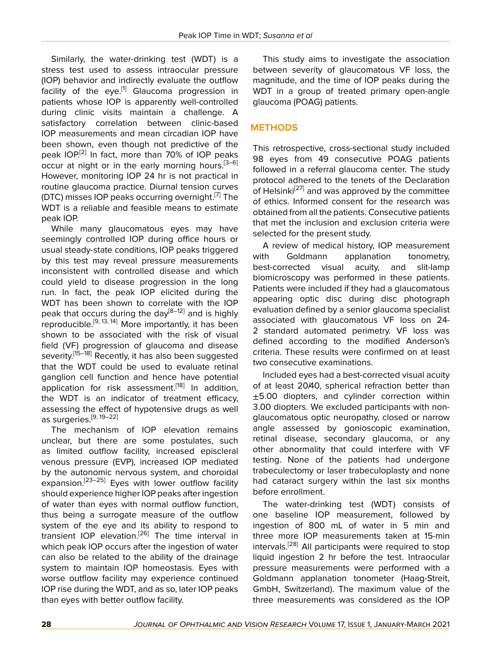Similarly, the water-drinking test (WDT) is a stress test used to assess intraocular pressure (IOP) behavior and indirectly evaluate the outflow facility of the eye.<sup>[[1](#page-4-0)]</sup> Glaucoma progression in patients whose IOP is apparently well-controlled during clinic visits maintain a challenge. A satisfactory correlation between clinic-based IOP measurements and mean circadian IOP have been shown, even though not predictive of the peak IOP.<sup>[[2](#page-4-1)]</sup> In fact, more than 70% of IOP peaks occur at night or in the early morning hours.<sup>[[3](#page-4-2)-[6](#page-4-3)]</sup> However, monitoring IOP 24 hr is not practical in routine glaucoma practice. Diurnal tension curves (DTC) misses IOP peaks occurring overnight.<sup>[\[7](#page-4-4)]</sup> The WDT is a reliable and feasible means to estimate peak IOP.

While many glaucomatous eyes may have seemingly controlled IOP during office hours or usual steady-state conditions, IOP peaks triggered by this test may reveal pressure measurements inconsistent with controlled disease and which could yield to disease progression in the long run. In fact, the peak IOP elicited during the WDT has been shown to correlate with the IOP peak that occurs during the day<sup>[\[8–](#page-4-5)[12](#page-4-6)]</sup> and is highly reproducible.[[9](#page-4-7), [13,](#page-4-8) [14](#page-5-0)] More importantly, it has been shown to be associated with the risk of visual field (VF) progression of glaucoma and disease severity.<sup>[\[15](#page-5-1)–[18\]](#page-5-2)</sup> Recently, it has also been suggested that the WDT could be used to evaluate retinal ganglion cell function and hence have potential application for risk assessment.<sup>[\[18](#page-5-2)]</sup> In addition, the WDT is an indicator of treatment efficacy, assessing the effect of hypotensive drugs as well as surgeries. $[9, 19-22]$  $[9, 19-22]$  $[9, 19-22]$  $[9, 19-22]$ 

The mechanism of IOP elevation remains unclear, but there are some postulates, such as limited outflow facility, increased episcleral venous pressure (EVP), increased IOP mediated by the autonomic nervous system, and choroidal expansion.<sup>[\[23](#page-5-5)-[25\]](#page-5-6)</sup> Eyes with lower outflow facility should experience higher IOP peaks after ingestion of water than eyes with normal outflow function, thus being a surrogate measure of the outflow system of the eye and its ability to respond to transient IOP elevation.<sup>[[26\]](#page-5-7)</sup> The time interval in which peak IOP occurs after the ingestion of water can also be related to the ability of the drainage system to maintain IOP homeostasis. Eyes with worse outflow facility may experience continued IOP rise during the WDT, and as so, later IOP peaks than eyes with better outflow facility.

This study aims to investigate the association between severity of glaucomatous VF loss, the magnitude, and the time of IOP peaks during the WDT in a group of treated primary open-angle glaucoma (POAG) patients.

# **METHODS**

This retrospective, cross-sectional study included 98 eyes from 49 consecutive POAG patients followed in a referral glaucoma center. The study protocol adhered to the tenets of the Declaration of Helsinki<sup>[[27](#page-5-8)]</sup> and was approved by the committee of ethics. Informed consent for the research was obtained from all the patients. Consecutive patients that met the inclusion and exclusion criteria were selected for the present study.

A review of medical history, IOP measurement with Goldmann applanation tonometry, best-corrected visual acuity, and slit-lamp biomicroscopy was performed in these patients. Patients were included if they had a glaucomatous appearing optic disc during disc photograph evaluation defined by a senior glaucoma specialist associated with glaucomatous VF loss on 24- 2 standard automated perimetry. VF loss was defined according to the modified Anderson's criteria. These results were confirmed on at least two consecutive examinations.

Included eyes had a best-corrected visual acuity of at least 20/40, spherical refraction better than ±5.00 diopters, and cylinder correction within 3.00 diopters. We excluded participants with nonglaucomatous optic neuropathy, closed or narrow angle assessed by gonioscopic examination, retinal disease, secondary glaucoma, or any other abnormality that could interfere with VF testing. None of the patients had undergone trabeculectomy or laser trabeculoplasty and none had cataract surgery within the last six months before enrollment.

The water-drinking test (WDT) consists of one baseline IOP measurement, followed by ingestion of 800 mL of water in 5 min and three more IOP measurements taken at 15-min intervals.[[28\]](#page-5-9) All participants were required to stop liquid ingestion 2 hr before the test. Intraocular pressure measurements were performed with a Goldmann applanation tonometer (Haag-Streit, GmbH, Switzerland). The maximum value of the three measurements was considered as the IOP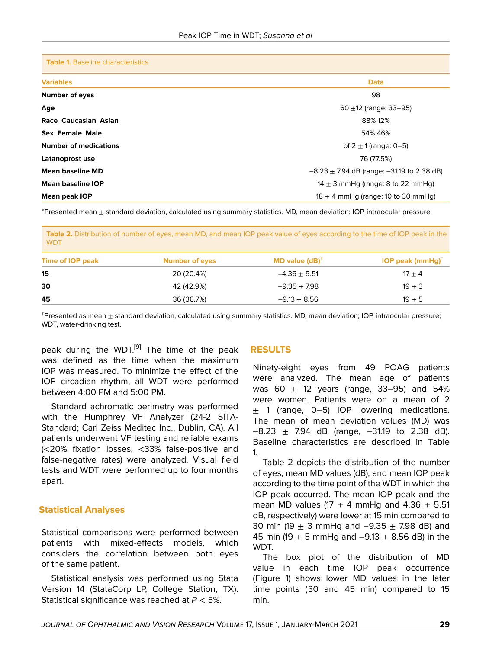**Table 1.** Baseline characteristics

| <b>Variables</b>             | <b>Data</b>                                      |  |
|------------------------------|--------------------------------------------------|--|
| <b>Number of eyes</b>        | 98                                               |  |
| Age                          | 60 $\pm$ 12 (range: 33–95)                       |  |
| Race Caucasian Asian         | 88% 12%                                          |  |
| <b>Sex Female Male</b>       | 54% 46%                                          |  |
| <b>Number of medications</b> | of $2 \pm 1$ (range: 0-5)                        |  |
| Latanoprost use              | 76 (77.5%)                                       |  |
| <b>Mean baseline MD</b>      | $-8.23 \pm 7.94$ dB (range: $-31.19$ to 2.38 dB) |  |
| <b>Mean baseline IOP</b>     | 14 $\pm$ 3 mmHg (range: 8 to 22 mmHg)            |  |
| <b>Mean peak IOP</b>         | 18 $\pm$ 4 mmHg (range: 10 to 30 mmHg)           |  |

<sup>∗</sup>Presented mean ± standard deviation, calculated using summary statistics. MD, mean deviation; IOP, intraocular pressure

**Table 2.** Distribution of number of eyes, mean MD, and mean IOP peak value of eyes according to the time of IOP peak in the WDT

| <b>Number of eyes</b> | <b>MD</b> value $(dB)^T$ | <b>IOP peak (mmHg)</b> <sup>†</sup> |
|-----------------------|--------------------------|-------------------------------------|
| 20 (20.4%)            | $-4.36 \pm 5.51$         | $17 \pm 4$                          |
| 42 (42.9%)            | $-9.35 \pm 7.98$         | $19 \pm 3$                          |
| 36 (36.7%)            | $-9.13 + 8.56$           | $19 \pm 5$                          |
|                       |                          |                                     |

†Presented as mean ± standard deviation, calculated using summary statistics. MD, mean deviation; IOP, intraocular pressure; WDT, water-drinking test.

peak during the WDT.<sup>[[9](#page-4-7)]</sup> The time of the peak was defined as the time when the maximum IOP was measured. To minimize the effect of the IOP circadian rhythm, all WDT were performed between 4:00 PM and 5:00 PM.

Standard achromatic perimetry was performed with the Humphrey VF Analyzer (24-2 SITA-Standard; Carl Zeiss Meditec Inc., Dublin, CA). All patients underwent VF testing and reliable exams (<20% fixation losses, <33% false-positive and false-negative rates) were analyzed. Visual field tests and WDT were performed up to four months apart.

# **Statistical Analyses**

Statistical comparisons were performed between patients with mixed-effects models, which considers the correlation between both eyes of the same patient.

Statistical analysis was performed using Stata Version 14 (StataCorp LP, College Station, TX). Statistical significance was reached at *P* < 5%.

# **RESULTS**

Ninety-eight eyes from 49 POAG patients were analyzed. The mean age of patients was 60  $\pm$  12 years (range, 33–95) and 54% were women. Patients were on a mean of 2  $\pm$  1 (range, 0–5) IOP lowering medications. The mean of mean deviation values (MD) was  $-8.23 \pm 7.94$  dB (range,  $-31.19$  to 2.38 dB). Baseline characteristics are described in Table 1.

Table 2 depicts the distribution of the number of eyes, mean MD values (dB), and mean IOP peak according to the time point of the WDT in which the IOP peak occurred. The mean IOP peak and the mean MD values (17  $\pm$  4 mmHg and 4.36  $\pm$  5.51 dB, respectively) were lower at 15 min compared to 30 min (19  $\pm$  3 mmHg and  $-9.35 \pm 7.98$  dB) and 45 min (19  $\pm$  5 mmHg and -9.13  $\pm$  8.56 dB) in the WDT.

The box plot of the distribution of MD value in each time IOP peak occurrence (Figure 1) shows lower MD values in the later time points (30 and 45 min) compared to 15 min.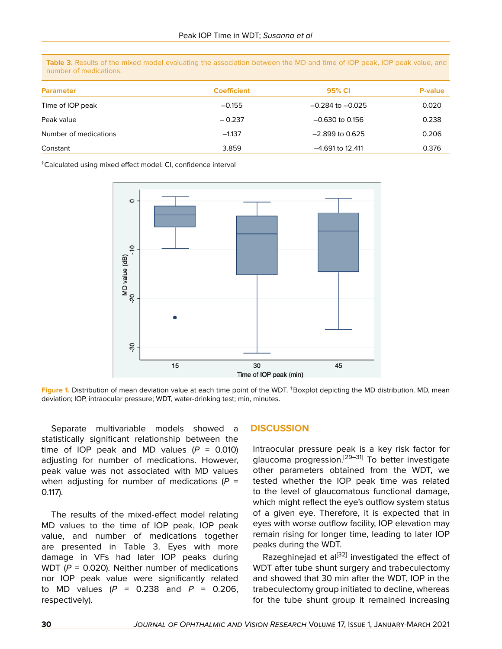**Table 3.** Results of the mixed model evaluating the association between the MD and time of IOP peak, IOP peak value, and number of medications.

| <b>Parameter</b>      | <b>Coefficient</b> | 95% CI               | <b>P-value</b> |
|-----------------------|--------------------|----------------------|----------------|
| Time of IOP peak      | $-0.155$           | $-0.284$ to $-0.025$ | 0.020          |
| Peak value            | $-0.237$           | $-0.630$ to 0.156    | 0.238          |
| Number of medications | $-1.137$           | $-2.899$ to 0.625    | 0.206          |
| Constant              | 3.859              | $-4.691$ to 12.411   | 0.376          |

†Calculated using mixed effect model. CI, confidence interval



**Figure 1.** Distribution of mean deviation value at each time point of the WDT. †Boxplot depicting the MD distribution. MD, mean deviation; IOP, intraocular pressure; WDT, water-drinking test; min, minutes.

Separate multivariable models showed a statistically significant relationship between the time of IOP peak and MD values  $(P = 0.010)$ adjusting for number of medications. However, peak value was not associated with MD values when adjusting for number of medications (*P* = 0.117).

The results of the mixed-effect model relating MD values to the time of IOP peak, IOP peak value, and number of medications together are presented in Table 3. Eyes with more damage in VFs had later IOP peaks during WDT ( $P = 0.020$ ). Neither number of medications nor IOP peak value were significantly related to MD values (*P =* 0.238 and *P* = 0.206, respectively).

#### **DISCUSSION**

Intraocular pressure peak is a key risk factor for glaucoma progression.<sup>[[29](#page-5-10)[–31](#page-5-11)]</sup> To better investigate other parameters obtained from the WDT, we tested whether the IOP peak time was related to the level of glaucomatous functional damage, which might reflect the eye's outflow system status of a given eye. Therefore, it is expected that in eyes with worse outflow facility, IOP elevation may remain rising for longer time, leading to later IOP peaks during the WDT.

Razeghinejad et al<sup>[[32\]](#page-5-12)</sup> investigated the effect of WDT after tube shunt surgery and trabeculectomy and showed that 30 min after the WDT, IOP in the trabeculectomy group initiated to decline, whereas for the tube shunt group it remained increasing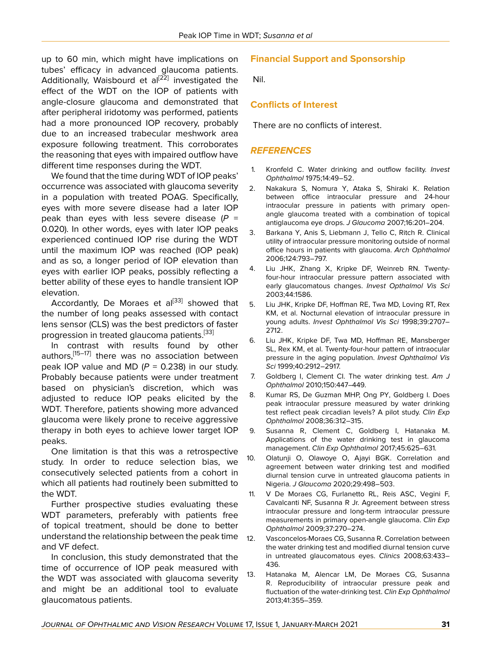up to 60 min, which might have implications on tubes' efficacy in advanced glaucoma patients. Additionally, Waisbourd et al<sup>[\[22](#page-5-4)]</sup> investigated the effect of the WDT on the IOP of patients with angle-closure glaucoma and demonstrated that after peripheral iridotomy was performed, patients had a more pronounced IOP recovery, probably due to an increased trabecular meshwork area exposure following treatment. This corroborates the reasoning that eyes with impaired outflow have different time responses during the WDT.

We found that the time during WDT of IOP peaks' occurrence was associated with glaucoma severity in a population with treated POAG. Specifically, eyes with more severe disease had a later IOP peak than eyes with less severe disease (*P* = 0.020). In other words, eyes with later IOP peaks experienced continued IOP rise during the WDT until the maximum IOP was reached (IOP peak) and as so, a longer period of IOP elevation than eyes with earlier IOP peaks, possibly reflecting a better ability of these eyes to handle transient IOP elevation.

Accordantly, De Moraes et al<sup>[\[33](#page-5-13)]</sup> showed that the number of long peaks assessed with contact lens sensor (CLS) was the best predictors of faster progression in treated glaucoma patients.<sup>[\[33\]](#page-5-13)</sup>

In contrast with results found by other authors,<sup>[[15](#page-5-1)–[17](#page-5-14)]</sup> there was no association between peak IOP value and MD  $(P = 0.238)$  in our study. Probably because patients were under treatment based on physician's discretion, which was adjusted to reduce IOP peaks elicited by the WDT. Therefore, patients showing more advanced glaucoma were likely prone to receive aggressive therapy in both eyes to achieve lower target IOP peaks.

One limitation is that this was a retrospective study. In order to reduce selection bias, we consecutively selected patients from a cohort in which all patients had routinely been submitted to the WDT.

Further prospective studies evaluating these WDT parameters, preferably with patients free of topical treatment, should be done to better understand the relationship between the peak time and VF defect.

In conclusion, this study demonstrated that the time of occurrence of IOP peak measured with the WDT was associated with glaucoma severity and might be an additional tool to evaluate glaucomatous patients.

# **Financial Support and Sponsorship**

Nil.

# **Conflicts of Interest**

There are no conflicts of interest.

## *REFERENCES*

- <span id="page-4-0"></span>1. Kronfeld C. Water drinking and outflow facility. *Invest Ophthalmol* 1975;14:49–52.
- <span id="page-4-1"></span>2. Nakakura S, Nomura Y, Ataka S, Shiraki K. Relation between office intraocular pressure and 24-hour intraocular pressure in patients with primary openangle glaucoma treated with a combination of topical antiglaucoma eye drops. *J Glaucoma* 2007;16:201–204.
- <span id="page-4-2"></span>3. Barkana Y, Anis S, Liebmann J, Tello C, Ritch R. Clinical utility of intraocular pressure monitoring outside of normal office hours in patients with glaucoma. *Arch Ophthalmol* 2006;124:793–797.
- 4. Liu JHK, Zhang X, Kripke DF, Weinreb RN. Twentyfour-hour intraocular pressure pattern associated with early glaucomatous changes. *Invest Opthalmol Vis Sci* 2003;44:1586.
- 5. Liu JHK, Kripke DF, Hoffman RE, Twa MD, Loving RT, Rex KM, et al. Nocturnal elevation of intraocular pressure in young adults. *Invest Ophthalmol Vis Sci* 1998;39:2707– 2712.
- <span id="page-4-3"></span>6. Liu JHK, Kripke DF, Twa MD, Hoffman RE, Mansberger SL, Rex KM, et al. Twenty-four-hour pattern of intraocular pressure in the aging population. *Invest Ophthalmol Vis Sci* 1999;40:2912–2917.
- <span id="page-4-4"></span>7. Goldberg I, Clement CI. The water drinking test. *Am J Ophthalmol* 2010;150:447–449.
- <span id="page-4-5"></span>8. Kumar RS, De Guzman MHP, Ong PY, Goldberg I. Does peak intraocular pressure measured by water drinking test reflect peak circadian levels? A pilot study. *Clin Exp Ophthalmol* 2008;36:312–315.
- <span id="page-4-7"></span>9. Susanna R, Clement C, Goldberg I, Hatanaka M. Applications of the water drinking test in glaucoma management. *Clin Exp Ophthalmol* 2017;45:625–631.
- 10. Olatunji O, Olawoye O, Ajayi BGK. Correlation and agreement between water drinking test and modified diurnal tension curve in untreated glaucoma patients in Nigeria. *J Glaucoma* 2020;29:498–503.
- 11. V De Moraes CG, Furlanetto RL, Reis ASC, Vegini F, Cavalcanti NF, Susanna R Jr. Agreement between stress intraocular pressure and long-term intraocular pressure measurements in primary open-angle glaucoma. *Clin Exp Ophthalmol* 2009;37:270–274.
- <span id="page-4-6"></span>12. Vasconcelos-Moraes CG, Susanna R. Correlation between the water drinking test and modified diurnal tension curve in untreated glaucomatous eyes. *Clinics* 2008;63:433– 436.
- <span id="page-4-8"></span>13. Hatanaka M, Alencar LM, De Moraes CG, Susanna R. Reproducibility of intraocular pressure peak and fluctuation of the water-drinking test. *Clin Exp Ophthalmol* 2013;41:355–359.